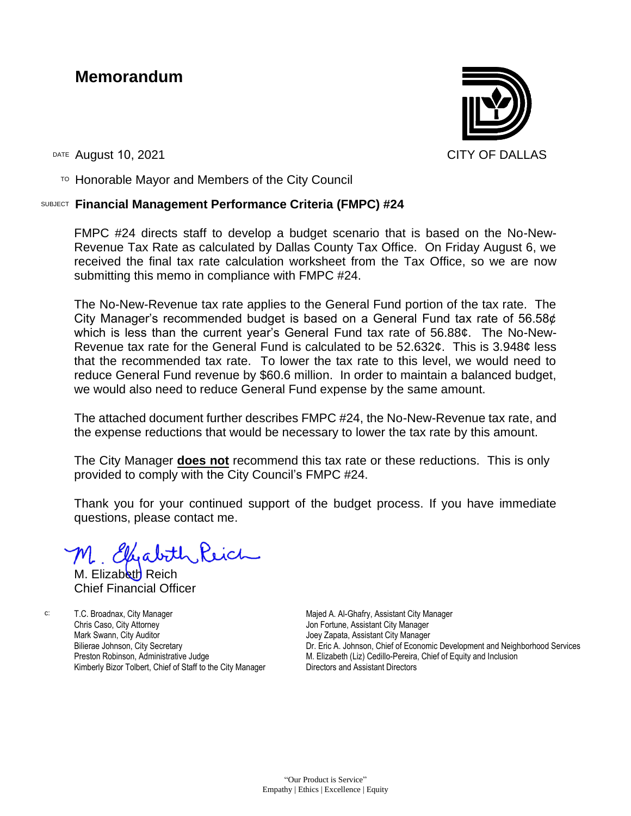### **Memorandum**



DATE August 10, 2021 CITY OF DALLAS

 $T$ <sup>O</sup> Honorable Mayor and Members of the City Council

#### SUBJECT **Financial Management Performance Criteria (FMPC) #24**

FMPC #24 directs staff to develop a budget scenario that is based on the No-New-Revenue Tax Rate as calculated by Dallas County Tax Office. On Friday August 6, we received the final tax rate calculation worksheet from the Tax Office, so we are now submitting this memo in compliance with FMPC #24.

The No-New-Revenue tax rate applies to the General Fund portion of the tax rate. The City Manager's recommended budget is based on a General Fund tax rate of 56.58¢ which is less than the current year's General Fund tax rate of 56.88¢. The No-New-Revenue tax rate for the General Fund is calculated to be 52.632¢. This is 3.948¢ less that the recommended tax rate. To lower the tax rate to this level, we would need to reduce General Fund revenue by \$60.6 million. In order to maintain a balanced budget, we would also need to reduce General Fund expense by the same amount.

The attached document further describes FMPC #24, the No-New-Revenue tax rate, and the expense reductions that would be necessary to lower the tax rate by this amount.

The City Manager **does not** recommend this tax rate or these reductions. This is only provided to comply with the City Council's FMPC #24.

Thank you for your continued support of the budget process. If you have immediate questions, please contact me.

M. Elfabith Reich

M. Elizabeth Reich Chief Financial Officer

c: T.C. Broadnax, City Manager Chris Caso, City Attorney Mark Swann, City Auditor Bilierae Johnson, City Secretary Preston Robinson, Administrative Judge Kimberly Bizor Tolbert, Chief of Staff to the City Manager

Majed A. Al-Ghafry, Assistant City Manager Jon Fortune, Assistant City Manager Joey Zapata, Assistant City Manager Dr. Eric A. Johnson, Chief of Economic Development and Neighborhood Services M. Elizabeth (Liz) Cedillo-Pereira, Chief of Equity and Inclusion Directors and Assistant Directors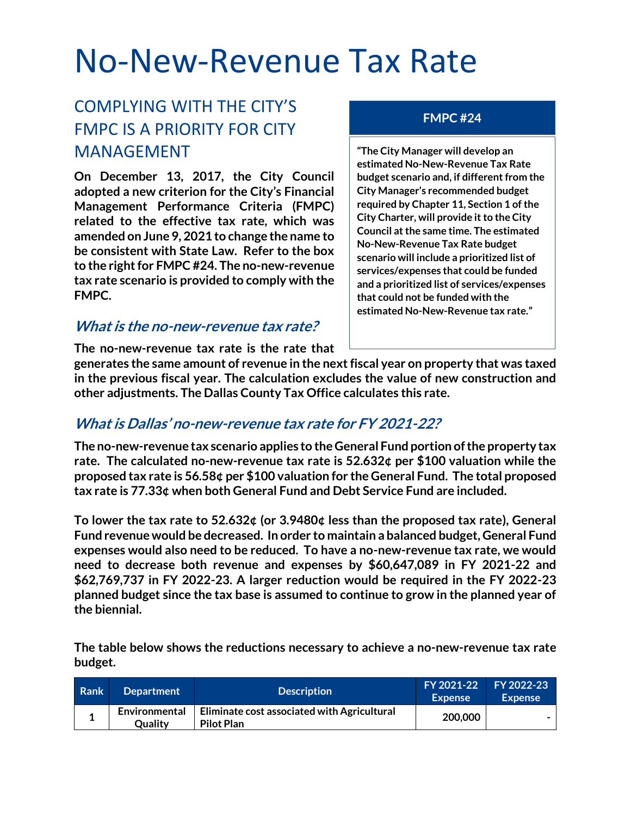# No-New-Revenue Tax Rate

### COMPLYING WITH THE CITY'S FMPC IS A PRIORITY FOR CITY MANAGEMENT

**On December 13, 2017, the City Council adopted a new criterion for the City's Financial Management Performance Criteria (FMPC) related to the effective tax rate, which was amended on June 9, 2021 to change the name to be consistent with State Law. Refer to the box to the right for FMPC #24. The no-new-revenue tax rate scenario is provided to comply with the FMPC.**

#### **What is the no-new-revenue tax rate?**

#### **FMPC #24**

**"The City Manager will develop an estimated No-New-Revenue Tax Rate budget scenario and, if different from the City Manager's recommended budget required by Chapter 11, Section 1 of the City Charter, will provide it to the City Council at the same time. The estimated No-New-Revenue Tax Rate budget scenario will include a prioritized list of services/expenses that could be funded and a prioritized list of services/expenses that could not be funded with the estimated No-New-Revenue tax rate."**

**The no-new-revenue tax rate is the rate that** 

**generates the same amount of revenue in the next fiscal year on property that was taxed in the previous fiscal year. The calculation excludes the value of new construction and other adjustments. The Dallas County Tax Office calculates this rate.**

#### **What is Dallas' no-new-revenue tax rate for FY 2021-22?**

**The no-new-revenue tax scenario applies to the General Fund portion of the property tax rate. The calculated no-new-revenue tax rate is 52.632¢ per \$100 valuation while the proposed tax rate is 56.58¢ per \$100 valuation for the General Fund. The total proposed tax rate is 77.33¢ when both General Fund and Debt Service Fund are included.** 

**To lower the tax rate to 52.632¢ (or 3.9480¢ less than the proposed tax rate), General Fund revenue would be decreased. In order to maintain a balanced budget, General Fund expenses would also need to be reduced. To have a no-new-revenue tax rate, we would need to decrease both revenue and expenses by \$60,647,089 in FY 2021-22 and \$62,769,737 in FY 2022-23. A larger reduction would be required in the FY 2022-23 planned budget since the tax base is assumed to continue to grow in the planned year of the biennial.**

**The table below shows the reductions necessary to achieve a no-new-revenue tax rate budget.**

| Rank | <b>Department</b>               | <b>Description</b>                                               | FY 2021-22 FY 2022-23<br><b>Expense</b> | <b>Expense</b> |
|------|---------------------------------|------------------------------------------------------------------|-----------------------------------------|----------------|
|      | Environmental<br><b>Quality</b> | Eliminate cost associated with Agricultural<br><b>Pilot Plan</b> | 200,000                                 |                |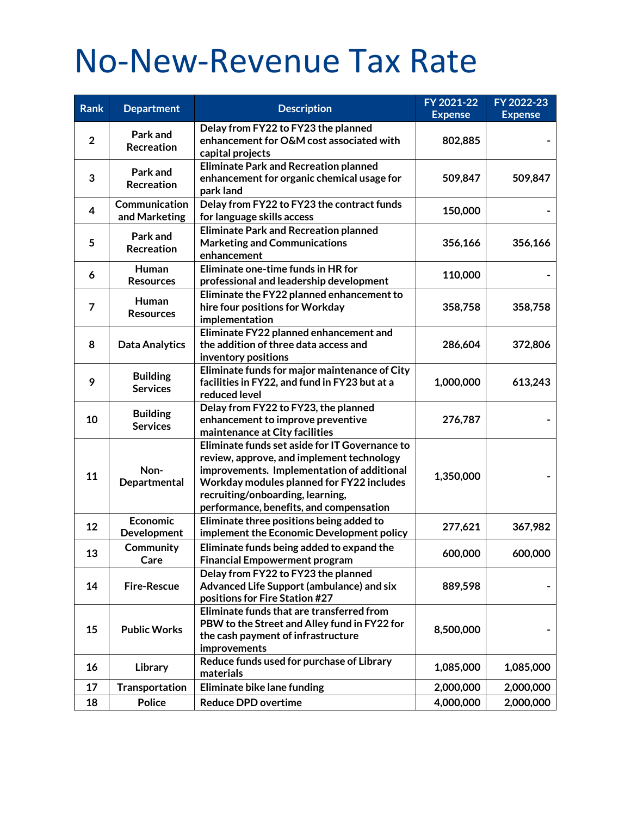# No-New-Revenue Tax Rate

| Rank           | <b>Department</b>                  | <b>Description</b>                                                                                                                                                                                                                                                    | FY 2021-22     | FY 2022-23     |
|----------------|------------------------------------|-----------------------------------------------------------------------------------------------------------------------------------------------------------------------------------------------------------------------------------------------------------------------|----------------|----------------|
|                |                                    |                                                                                                                                                                                                                                                                       | <b>Expense</b> | <b>Expense</b> |
| $\overline{2}$ | Park and<br>Recreation             | Delay from FY22 to FY23 the planned<br>enhancement for O&M cost associated with<br>capital projects                                                                                                                                                                   | 802,885        |                |
| 3              | Park and<br>Recreation             | <b>Eliminate Park and Recreation planned</b><br>enhancement for organic chemical usage for<br>park land                                                                                                                                                               | 509,847        | 509,847        |
| 4              | Communication<br>and Marketing     | Delay from FY22 to FY23 the contract funds<br>for language skills access                                                                                                                                                                                              | 150,000        |                |
| 5              | Park and<br>Recreation             | <b>Eliminate Park and Recreation planned</b><br><b>Marketing and Communications</b><br>enhancement                                                                                                                                                                    | 356,166        | 356,166        |
| 6              | Human<br><b>Resources</b>          | Eliminate one-time funds in HR for<br>professional and leadership development                                                                                                                                                                                         | 110,000        |                |
| 7              | Human<br><b>Resources</b>          | Eliminate the FY22 planned enhancement to<br>hire four positions for Workday<br>implementation                                                                                                                                                                        | 358,758        | 358,758        |
| 8              | <b>Data Analytics</b>              | Eliminate FY22 planned enhancement and<br>the addition of three data access and<br>inventory positions                                                                                                                                                                | 286,604        | 372,806        |
| 9              | <b>Building</b><br><b>Services</b> | Eliminate funds for major maintenance of City<br>facilities in FY22, and fund in FY23 but at a<br>reduced level                                                                                                                                                       | 1,000,000      | 613,243        |
| 10             | <b>Building</b><br><b>Services</b> | Delay from FY22 to FY23, the planned<br>enhancement to improve preventive<br>maintenance at City facilities                                                                                                                                                           | 276,787        |                |
| 11             | Non-<br>Departmental               | Eliminate funds set aside for IT Governance to<br>review, approve, and implement technology<br>improvements. Implementation of additional<br>Workday modules planned for FY22 includes<br>recruiting/onboarding, learning,<br>performance, benefits, and compensation | 1,350,000      |                |
| 12             | <b>Economic</b><br>Development     | Eliminate three positions being added to<br>implement the Economic Development policy                                                                                                                                                                                 | 277,621        | 367,982        |
| 13             | Community<br>Care                  | Eliminate funds being added to expand the<br><b>Financial Empowerment program</b>                                                                                                                                                                                     | 600,000        | 600,000        |
| 14             | <b>Fire-Rescue</b>                 | Delay from FY22 to FY23 the planned<br>Advanced Life Support (ambulance) and six<br>positions for Fire Station #27                                                                                                                                                    | 889,598        |                |
| 15             | <b>Public Works</b>                | Eliminate funds that are transferred from<br>PBW to the Street and Alley fund in FY22 for<br>the cash payment of infrastructure<br>improvements                                                                                                                       | 8,500,000      |                |
| 16             | Library                            | Reduce funds used for purchase of Library<br>materials                                                                                                                                                                                                                | 1,085,000      | 1,085,000      |
| 17             | <b>Transportation</b>              | Eliminate bike lane funding                                                                                                                                                                                                                                           | 2,000,000      | 2,000,000      |
| 18             | <b>Police</b>                      | <b>Reduce DPD overtime</b>                                                                                                                                                                                                                                            | 4,000,000      | 2,000,000      |